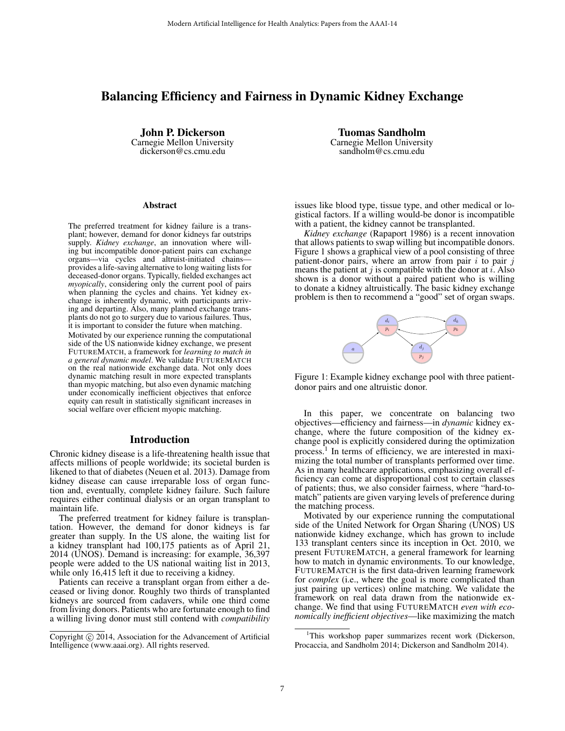# Balancing Efficiency and Fairness in Dynamic Kidney Exchange

John P. Dickerson Carnegie Mellon University dickerson@cs.cmu.edu

#### Abstract

The preferred treatment for kidney failure is a transplant; however, demand for donor kidneys far outstrips supply. *Kidney exchange*, an innovation where willing but incompatible donor-patient pairs can exchange organs—via cycles and altruist-initiated chains provides a life-saving alternative to long waiting lists for deceased-donor organs. Typically, fielded exchanges act *myopically*, considering only the current pool of pairs when planning the cycles and chains. Yet kidney exchange is inherently dynamic, with participants arriving and departing. Also, many planned exchange transplants do not go to surgery due to various failures. Thus, it is important to consider the future when matching. Motivated by our experience running the computational side of the US nationwide kidney exchange, we present FUTUREMATCH, a framework for *learning to match in a general dynamic model*. We validate FUTUREMATCH on the real nationwide exchange data. Not only does dynamic matching result in more expected transplants than myopic matching, but also even dynamic matching under economically inefficient objectives that enforce equity can result in statistically significant increases in social welfare over efficient myopic matching.

#### Introduction

Chronic kidney disease is a life-threatening health issue that affects millions of people worldwide; its societal burden is likened to that of diabetes (Neuen et al. 2013). Damage from kidney disease can cause irreparable loss of organ function and, eventually, complete kidney failure. Such failure requires either continual dialysis or an organ transplant to maintain life.

The preferred treatment for kidney failure is transplantation. However, the demand for donor kidneys is far greater than supply. In the US alone, the waiting list for a kidney transplant had 100,175 patients as of April 21, 2014 (UNOS). Demand is increasing: for example, 36,397 people were added to the US national waiting list in 2013, while only 16,415 left it due to receiving a kidney.

Patients can receive a transplant organ from either a deceased or living donor. Roughly two thirds of transplanted kidneys are sourced from cadavers, while one third come from living donors. Patients who are fortunate enough to find a willing living donor must still contend with *compatibility*

Tuomas Sandholm Carnegie Mellon University sandholm@cs.cmu.edu

issues like blood type, tissue type, and other medical or logistical factors. If a willing would-be donor is incompatible with a patient, the kidney cannot be transplanted.

*Kidney exchange* (Rapaport 1986) is a recent innovation that allows patients to swap willing but incompatible donors. Figure 1 shows a graphical view of a pool consisting of three patient-donor pairs, where an arrow from pair  $i$  to pair  $j$ means the patient at  $j$  is compatible with the donor at  $i$ . Also shown is a donor without a paired patient who is willing to donate a kidney altruistically. The basic kidney exchange problem is then to recommend a "good" set of organ swaps.



Figure 1: Example kidney exchange pool with three patientdonor pairs and one altruistic donor.

In this paper, we concentrate on balancing two objectives—efficiency and fairness—in *dynamic* kidney exchange, where the future composition of the kidney exchange pool is explicitly considered during the optimization process.<sup>1</sup> In terms of efficiency, we are interested in maximizing the total number of transplants performed over time. As in many healthcare applications, emphasizing overall efficiency can come at disproportional cost to certain classes of patients; thus, we also consider fairness, where "hard-tomatch" patients are given varying levels of preference during the matching process.

Motivated by our experience running the computational side of the United Network for Organ Sharing (UNOS) US nationwide kidney exchange, which has grown to include 133 transplant centers since its inception in Oct. 2010, we present FUTUREMATCH, a general framework for learning how to match in dynamic environments. To our knowledge, FUTUREMATCH is the first data-driven learning framework for *complex* (i.e., where the goal is more complicated than just pairing up vertices) online matching. We validate the framework on real data drawn from the nationwide exchange. We find that using FUTUREMATCH *even with economically inefficient objectives*—like maximizing the match

Copyright © 2014, Association for the Advancement of Artificial Intelligence (www.aaai.org). All rights reserved.

<sup>1</sup>This workshop paper summarizes recent work (Dickerson, Procaccia, and Sandholm 2014; Dickerson and Sandholm 2014).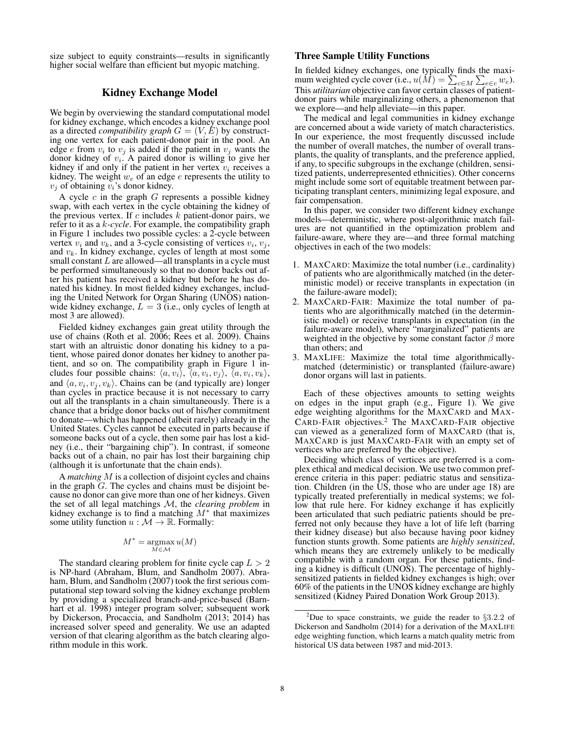size subject to equity constraints—results in significantly higher social welfare than efficient but myopic matching.

## Kidney Exchange Model

We begin by overviewing the standard computational model for kidney exchange, which encodes a kidney exchange pool as a directed *compatibility graph*  $G = (V, E)$  by constructing one vertex for each patient-donor pair in the pool. An edge *e* from  $v_i$  to  $v_j$  is added if the patient in  $v_j$  wants the donor kidney of  $v_i$ . A paired donor is willing to give her kidney if and only if the patient in her vertex  $v_i$  receives a kidney. The weight  $w_e$  of an edge  $e$  represents the utility to  $v_i$  of obtaining  $v_i$ 's donor kidney.

A cycle  $c$  in the graph  $G$  represents a possible kidney swap, with each vertex in the cycle obtaining the kidney of the previous vertex. If  $c$  includes  $k$  patient-donor pairs, we refer to it as a k*-cycle*. For example, the compatibility graph in Figure 1 includes two possible cycles: a 2-cycle between vertex  $v_i$  and  $v_k$ , and a 3-cycle consisting of vertices  $v_i$ ,  $v_j$ , and  $v_k$ . In kidney exchange, cycles of length at most some small constant  $L$  are allowed—all transplants in a cycle must be performed simultaneously so that no donor backs out after his patient has received a kidney but before he has donated his kidney. In most fielded kidney exchanges, including the United Network for Organ Sharing (UNOS) nationwide kidney exchange,  $L = 3$  (i.e., only cycles of length at most 3 are allowed).

Fielded kidney exchanges gain great utility through the use of chains (Roth et al. 2006; Rees et al. 2009). Chains start with an altruistic donor donating his kidney to a patient, whose paired donor donates her kidney to another patient, and so on. The compatibility graph in Figure 1 includes four possible chains:  $\langle a, v_i \rangle$ ,  $\langle a, v_i, v_j \rangle$ ,  $\langle a, v_i, v_k \rangle$ , and  $\langle a, v_i, v_j, v_k \rangle$ . Chains can be (and typically are) longer than cycles in practice because it is not necessary to carry out all the transplants in a chain simultaneously. There is a chance that a bridge donor backs out of his/her commitment to donate—which has happened (albeit rarely) already in the United States. Cycles cannot be executed in parts because if someone backs out of a cycle, then some pair has lost a kidney (i.e., their "bargaining chip"). In contrast, if someone backs out of a chain, no pair has lost their bargaining chip (although it is unfortunate that the chain ends).

A *matching* M is a collection of disjoint cycles and chains in the graph  $G$ . The cycles and chains must be disjoint because no donor can give more than one of her kidneys. Given the set of all legal matchings M, the *clearing problem* in kidney exchange is to find a matching  $M^*$  that maximizes some utility function  $u : \mathcal{M} \to \mathbb{R}$ . Formally:

$$
M^* = \operatorname*{argmax}_{M \in \mathcal{M}} u(M)
$$

The standard clearing problem for finite cycle cap  $L > 2$ is NP-hard (Abraham, Blum, and Sandholm 2007). Abraham, Blum, and Sandholm (2007) took the first serious computational step toward solving the kidney exchange problem by providing a specialized branch-and-price-based (Barnhart et al. 1998) integer program solver; subsequent work by Dickerson, Procaccia, and Sandholm (2013; 2014) has increased solver speed and generality. We use an adapted version of that clearing algorithm as the batch clearing algorithm module in this work.

## Three Sample Utility Functions

In fielded kidney exchanges, one typically finds the maximum weighted cycle cover (i.e.,  $u(M) = \sum_{c \in M} \sum_{e \in c} w_e$ ). This *utilitarian* objective can favor certain classes of patientdonor pairs while marginalizing others, a phenomenon that we explore—and help alleviate—in this paper.

The medical and legal communities in kidney exchange are concerned about a wide variety of match characteristics. In our experience, the most frequently discussed include the number of overall matches, the number of overall transplants, the quality of transplants, and the preference applied, if any, to specific subgroups in the exchange (children, sensitized patients, underrepresented ethnicities). Other concerns might include some sort of equitable treatment between participating transplant centers, minimizing legal exposure, and fair compensation.

In this paper, we consider two different kidney exchange models—deterministic, where post-algorithmic match failures are not quantified in the optimization problem and failure-aware, where they are—and three formal matching objectives in each of the two models:

- 1. MAXCARD: Maximize the total number (i.e., cardinality) of patients who are algorithmically matched (in the deterministic model) or receive transplants in expectation (in the failure-aware model);
- 2. MAXCARD-FAIR: Maximize the total number of patients who are algorithmically matched (in the deterministic model) or receive transplants in expectation (in the failure-aware model), where "marginalized" patients are weighted in the objective by some constant factor  $\beta$  more than others; and
- 3. MAXLIFE: Maximize the total time algorithmicallymatched (deterministic) or transplanted (failure-aware) donor organs will last in patients.

Each of these objectives amounts to setting weights on edges in the input graph (e.g., Figure 1). We give edge weighting algorithms for the MAXCARD and MAX-CARD-FAIR objectives.<sup>2</sup> The MAXCARD-FAIR objective can viewed as a generalized form of MAXCARD (that is, MAXCARD is just MAXCARD-FAIR with an empty set of vertices who are preferred by the objective).

Deciding which class of vertices are preferred is a complex ethical and medical decision. We use two common preference criteria in this paper: pediatric status and sensitization. Children (in the US, those who are under age 18) are typically treated preferentially in medical systems; we follow that rule here. For kidney exchange it has explicitly been articulated that such pediatric patients should be preferred not only because they have a lot of life left (barring their kidney disease) but also because having poor kidney function stunts growth. Some patients are *highly sensitized*, which means they are extremely unlikely to be medically compatible with a random organ. For these patients, finding a kidney is difficult (UNOS). The percentage of highlysensitized patients in fielded kidney exchanges is high; over 60% of the patients in the UNOS kidney exchange are highly sensitized (Kidney Paired Donation Work Group 2013).

<sup>&</sup>lt;sup>2</sup>Due to space constraints, we guide the reader to  $\S 3.2.2$  of Dickerson and Sandholm (2014) for a derivation of the MAXLIFE edge weighting function, which learns a match quality metric from historical US data between 1987 and mid-2013.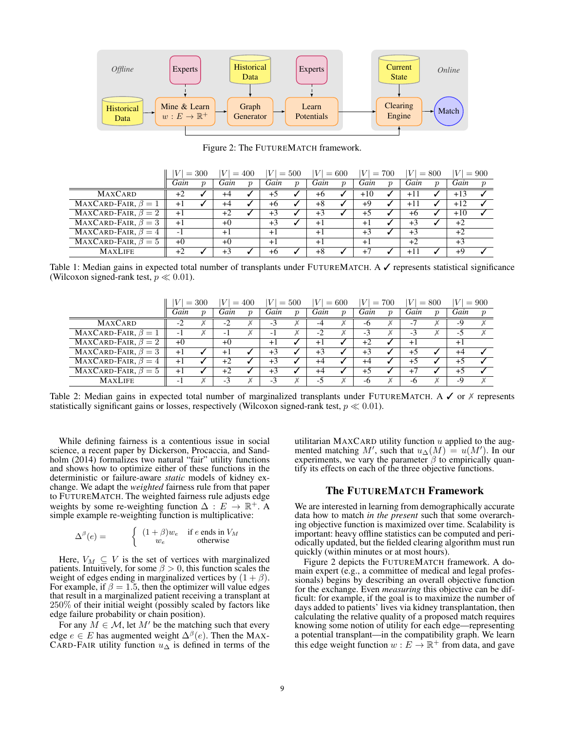

Figure 2: The FUTUREMATCH framework.

|                           | V<br>$= 300$ |  | V <br>$=400$ |                     | $=500$<br>V |                  | $= 600$<br> V |                  | $= 700$<br>V |                  | $= 800$ |                  | $= 900$<br>V. |                  |
|---------------------------|--------------|--|--------------|---------------------|-------------|------------------|---------------|------------------|--------------|------------------|---------|------------------|---------------|------------------|
|                           | Gain         |  | Gain         | $\boldsymbol{\eta}$ | Gain        | $\boldsymbol{v}$ | Gain          | $\boldsymbol{p}$ | Gain         | $\boldsymbol{v}$ | Gain    | $\boldsymbol{p}$ | Gain          | $\boldsymbol{p}$ |
| <b>MAXCARD</b>            | +2           |  | $+4$         |                     | +5          |                  | $+6$          |                  | $+10$        |                  | $+11$   |                  | $+13$         |                  |
| MAXCARD-FAIR, $\beta = 1$ | $+1$         |  | +4           |                     | +6          |                  | $+8$          |                  | +9           |                  | $+11$   |                  | $+12$         |                  |
| MAXCARD-FAIR, $\beta = 2$ | $+1$         |  | +2           |                     | +3          |                  | $+3$          |                  | $+5$         |                  | $+6$    |                  | $+10$         |                  |
| MAXCARD-FAIR, $\beta = 3$ | $+1$         |  | $+0$         |                     | $+3$        |                  | $+1$          |                  | $+1$         |                  | $+3$    |                  | $+2$          |                  |
| MAXCARD-FAIR, $\beta = 4$ | $-1$         |  | $+1$         |                     | $+1$        |                  | $+1$          |                  | $+3$         |                  | $+3$    |                  | $+2$          |                  |
| MAXCARD-FAIR, $\beta = 5$ | $+0$         |  | $+0$         |                     | $+1$        |                  | $+1$          |                  | $+1$         |                  | $+2$    |                  | $+3$          |                  |
| <b>MAXLIFE</b>            | +2           |  |              |                     | +6          |                  | $+8$          |                  | $+7$         |                  | $+1$    |                  | +9            |                  |

Table 1: Median gains in expected total number of transplants under FUTUREMATCH. A √ represents statistical significance (Wilcoxon signed-rank test,  $p \ll 0.01$ ).

|                                             | V<br>$= 300$ |                     | V <br>$=400$ |                     | $=500$<br> V |                  | V<br>$= 600$ |                  | $= 700$<br>V. |                  | V <br>$= 800$ |  | V<br>$= 900$ |  |
|---------------------------------------------|--------------|---------------------|--------------|---------------------|--------------|------------------|--------------|------------------|---------------|------------------|---------------|--|--------------|--|
|                                             | Gain         | $\boldsymbol{\eta}$ | Gain         | $\boldsymbol{\eta}$ | Gain         | $\boldsymbol{v}$ | Gain         | $\boldsymbol{v}$ | Gain          | $\boldsymbol{v}$ | Gain          |  | Gain         |  |
| <b>MAXCARD</b>                              | -2           |                     | $-2$         |                     | $-3$         |                  | -4           |                  | -6            |                  | -7            |  | -9           |  |
| MAXCARD-FAIR, $\beta = 1$                   | - 1          |                     | - 1          |                     | - 1          |                  | $-2$         |                  | -3            |                  | -3            |  | - ג          |  |
| MAXCARD-FAIR, $\beta = 2$                   | $+0$         |                     | $+0$         |                     | $+1$         |                  | $+1$         |                  | $+2$          |                  | $+1$          |  | $+1$         |  |
| $\overline{\text{MAXCARD-FAIR}, \beta} = 3$ | $+1$         |                     | $+1$         |                     | $+3$         |                  | $+3$         |                  | $+3$          |                  | $+5$          |  | $+4$         |  |
| MAXCARD-FAIR, $\beta = 4$                   | $+1$         |                     | $+2$         |                     | $+3$         |                  | $+4$         |                  | $+4$          |                  | $+5$          |  | $+5$         |  |
| MAXCARD-FAIR, $\beta = 5$                   | $+1$         |                     | $+2$         |                     | $+3$         |                  | $+4$         |                  | $+5$          |                  | $+7$          |  | $+5$         |  |
| <b>MAXLIFE</b>                              | - 1          |                     | $-3$         |                     | $-3$         |                  | -5           |                  | -6            |                  | -6            |  | -9           |  |

Table 2: Median gains in expected total number of marginalized transplants under FUTUREMATCH. A  $\checkmark$  or  $\checkmark$  represents statistically significant gains or losses, respectively (Wilcoxon signed-rank test,  $p \ll 0.01$ ).

While defining fairness is a contentious issue in social science, a recent paper by Dickerson, Procaccia, and Sandholm (2014) formalizes two natural "fair" utility functions and shows how to optimize either of these functions in the deterministic or failure-aware *static* models of kidney exchange. We adapt the *weighted* fairness rule from that paper to FUTUREMATCH. The weighted fairness rule adjusts edge weights by some re-weighting function  $\Delta : E \to \mathbb{R}^+$ . A simple example re-weighting function is multiplicative:

 $\equiv$ 

 $\overline{a}$ 

$$
\Delta^{\beta}(e) = \begin{cases} (1+\beta)w_e & \text{if } e \text{ ends in } V_M \\ w_e & \text{otherwise} \end{cases}
$$

Here,  $V_M \subseteq V$  is the set of vertices with marginalized patients. Intuitively, for some  $\beta > 0$ , this function scales the weight of edges ending in marginalized vertices by  $(1 + \beta)$ . For example, if  $\beta = 1.5$ , then the optimizer will value edges that result in a marginalized patient receiving a transplant at 250% of their initial weight (possibly scaled by factors like edge failure probability or chain position).

For any  $M \in \mathcal{M}$ , let  $M'$  be the matching such that every edge  $e \in E$  has augmented weight  $\Delta^{\beta}(e)$ . Then the MAX-CARD-FAIR utility function  $u_{\Delta}$  is defined in terms of the utilitarian MAXCARD utility function  $u$  applied to the augmented matching M', such that  $u_{\Delta}(M) = u(M')$ . In our experiments, we vary the parameter  $\beta$  to empirically quantify its effects on each of the three objective functions.

## The FUTUREMATCH Framework

We are interested in learning from demographically accurate data how to match *in the present* such that some overarching objective function is maximized over time. Scalability is important: heavy offline statistics can be computed and periodically updated, but the fielded clearing algorithm must run quickly (within minutes or at most hours).

Figure 2 depicts the FUTUREMATCH framework. A domain expert (e.g., a committee of medical and legal professionals) begins by describing an overall objective function for the exchange. Even *measuring* this objective can be difficult: for example, if the goal is to maximize the number of days added to patients' lives via kidney transplantation, then calculating the relative quality of a proposed match requires knowing some notion of utility for each edge—representing a potential transplant—in the compatibility graph. We learn this edge weight function  $w : E \to \mathbb{R}^+$  from data, and gave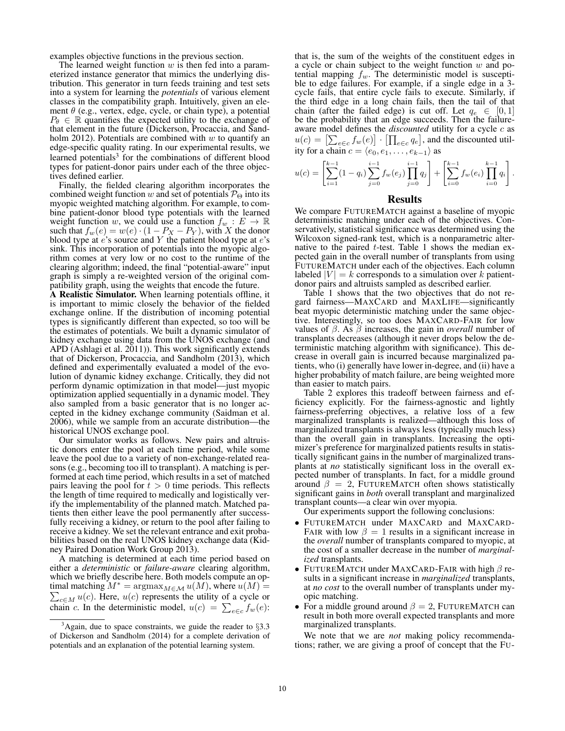examples objective functions in the previous section.

The learned weight function  $w$  is then fed into a parameterized instance generator that mimics the underlying distribution. This generator in turn feeds training and test sets into a system for learning the *potentials* of various element classes in the compatibility graph. Intuitively, given an element  $\theta$  (e.g., vertex, edge, cycle, or chain type), a potential  $P_{\theta} \in \mathbb{R}$  quantifies the expected utility to the exchange of that element in the future (Dickerson, Procaccia, and Sandholm 2012). Potentials are combined with  $w$  to quantify an edge-specific quality rating. In our experimental results, we learned potentials<sup>3</sup> for the combinations of different blood types for patient-donor pairs under each of the three objectives defined earlier.

Finally, the fielded clearing algorithm incorporates the combined weight function w and set of potentials  $\mathcal{P}_{\Theta}$  into its myopic weighted matching algorithm. For example, to combine patient-donor blood type potentials with the learned weight function w, we could use a function  $f_w : E \to \mathbb{R}$ such that  $f_w(e) = w(e) \cdot (1 - P_X - P_Y)$ , with X the donor blood type at  $e$ 's source and Y the patient blood type at  $e$ 's sink. This incorporation of potentials into the myopic algorithm comes at very low or no cost to the runtime of the clearing algorithm; indeed, the final "potential-aware" input graph is simply a re-weighted version of the original compatibility graph, using the weights that encode the future.

A Realistic Simulator. When learning potentials offline, it is important to mimic closely the behavior of the fielded exchange online. If the distribution of incoming potential types is significantly different than expected, so too will be the estimates of potentials. We built a dynamic simulator of kidney exchange using data from the UNOS exchange (and APD (Ashlagi et al. 2011)). This work significantly extends that of Dickerson, Procaccia, and Sandholm (2013), which defined and experimentally evaluated a model of the evolution of dynamic kidney exchange. Critically, they did not perform dynamic optimization in that model—just myopic optimization applied sequentially in a dynamic model. They also sampled from a basic generator that is no longer accepted in the kidney exchange community (Saidman et al. 2006), while we sample from an accurate distribution—the historical UNOS exchange pool.

Our simulator works as follows. New pairs and altruistic donors enter the pool at each time period, while some leave the pool due to a variety of non-exchange-related reasons (e.g., becoming too ill to transplant). A matching is performed at each time period, which results in a set of matched pairs leaving the pool for  $t > 0$  time periods. This reflects the length of time required to medically and logistically verify the implementability of the planned match. Matched patients then either leave the pool permanently after successfully receiving a kidney, or return to the pool after failing to receive a kidney. We set the relevant entrance and exit probabilities based on the real UNOS kidney exchange data (Kidney Paired Donation Work Group 2013).

A matching is determined at each time period based on either a *deterministic* or *failure-aware* clearing algorithm, which we briefly describe here. Both models compute an optimal matching P  $M^* = \operatorname{argmax}_{M \in \mathcal{M}} u(M)$ , where  $u(M) =$  $_{c \in M} u(c)$ . Here,  $u(c)$  represents the utility of a cycle or chain c. In the deterministic model,  $u(c) = \sum_{e \in c} f_w(e)$ :

that is, the sum of the weights of the constituent edges in a cycle or chain subject to the weight function  $w$  and potential mapping  $f_w$ . The deterministic model is susceptible to edge failures. For example, if a single edge in a 3 cycle fails, that entire cycle fails to execute. Similarly, if the third edge in a long chain fails, then the tail of that chain (after the failed edge) is cut off. Let  $q_e \in [0,1]$ be the probability that an edge succeeds. Then the failureaware model defines the *discounted* utility for a cycle c as  $u(c) = \left[\sum_{e \in c} f_w(e)\right] \cdot \left[\prod_{e \in c} q_e\right]$ , and the discounted utility for a chain  $c = \langle e_0, e_1, \ldots, e_{k-1} \rangle$  as

$$
u(c) = \left[\sum_{i=1}^{k-1} (1-q_i) \sum_{j=0}^{i-1} f_w(e_j) \prod_{j=0}^{i-1} q_j \right] + \left[\sum_{i=0}^{k-1} f_w(e_i) \prod_{i=0}^{k-1} q_i \right].
$$

# Results

We compare FUTUREMATCH against a baseline of myopic deterministic matching under each of the objectives. Conservatively, statistical significance was determined using the Wilcoxon signed-rank test, which is a nonparametric alternative to the paired  $t$ -test. Table 1 shows the median expected gain in the overall number of transplants from using FUTUREMATCH under each of the objectives. Each column labeled  $|V| = k$  corresponds to a simulation over k patientdonor pairs and altruists sampled as described earlier.

Table 1 shows that the two objectives that do not regard fairness—MAXCARD and MAXLIFE—significantly beat myopic deterministic matching under the same objective. Interestingly, so too does MAXCARD-FAIR for low values of  $\beta$ . As  $\beta$  increases, the gain in *overall* number of transplants decreases (although it never drops below the deterministic matching algorithm with significance). This decrease in overall gain is incurred because marginalized patients, who (i) generally have lower in-degree, and (ii) have a higher probability of match failure, are being weighted more than easier to match pairs.

Table 2 explores this tradeoff between fairness and efficiency explicitly. For the fairness-agnostic and lightly fairness-preferring objectives, a relative loss of a few marginalized transplants is realized—although this loss of marginalized transplants is always less (typically much less) than the overall gain in transplants. Increasing the optimizer's preference for marginalized patients results in statistically significant gains in the number of marginalized transplants at *no* statistically significant loss in the overall expected number of transplants. In fact, for a middle ground around  $\beta = 2$ , FUTUREMATCH often shows statistically significant gains in *both* overall transplant and marginalized transplant counts—a clear win over myopia.

Our experiments support the following conclusions:

- FUTUREMATCH under MAXCARD and MAXCARD-FAIR with low  $\beta = 1$  results in a significant increase in the *overall* number of transplants compared to myopic, at the cost of a smaller decrease in the number of *marginalized* transplants.
- FUTUREMATCH under MAXCARD-FAIR with high  $\beta$  results in a significant increase in *marginalized* transplants, at *no cost* to the overall number of transplants under myopic matching.
- For a middle ground around  $\beta = 2$ , FUTUREMATCH can result in both more overall expected transplants and more marginalized transplants.

We note that we are *not* making policy recommendations; rather, we are giving a proof of concept that the FU-

 $3$ Again, due to space constraints, we guide the reader to  $\S 3.3$ of Dickerson and Sandholm (2014) for a complete derivation of potentials and an explanation of the potential learning system.